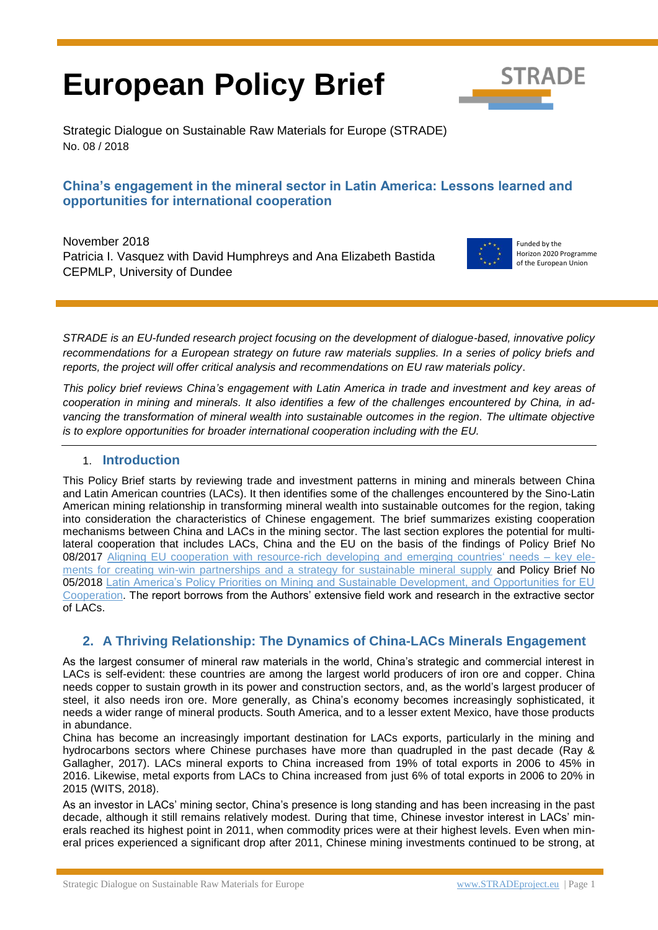# **European Policy Brief**



Strategic Dialogue on Sustainable Raw Materials for Europe (STRADE) No. 08 / 2018

#### **China's engagement in the mineral sector in Latin America: Lessons learned and opportunities for international cooperation**

November 2018 Patricia I. Vasquez with David Humphreys and Ana Elizabeth Bastida CEPMLP, University of Dundee



Funded by the Horizon 2020 Programme of the European Union

*STRADE is an EU-funded research project focusing on the development of dialogue-based, innovative policy recommendations for a European strategy on future raw materials supplies. In a series of policy briefs and reports, the project will offer critical analysis and recommendations on EU raw materials policy*.

*This policy brief reviews China's engagement with Latin America in trade and investment and key areas of cooperation in mining and minerals. It also identifies a few of the challenges encountered by China, in ad*vancing the transformation of mineral wealth into sustainable outcomes in the region. The ultimate objective *is to explore opportunities for broader international cooperation including with the EU.*

#### 1. **Introduction**

This Policy Brief starts by reviewing trade and investment patterns in mining and minerals between China and Latin American countries (LACs). It then identifies some of the challenges encountered by the Sino-Latin American mining relationship in transforming mineral wealth into sustainable outcomes for the region, taking into consideration the characteristics of Chinese engagement. The brief summarizes existing cooperation mechanisms between China and LACs in the mining sector. The last section explores the potential for multilateral cooperation that includes LACs, China and the EU on the basis of the findings of Policy Brief No 08/2017 [Aligning EU cooperation with resource-rich developing and emerging countries' needs –](http://stradeproject.eu/fileadmin/user_upload/pdf/WP3_3_1-Policy-Brief-D-3-7_08-2017_v03_final_20170925.pdf) key ele[ments for creating win-win partnerships and a strategy for sustainable mineral supply](http://stradeproject.eu/fileadmin/user_upload/pdf/WP3_3_1-Policy-Brief-D-3-7_08-2017_v03_final_20170925.pdf) and Policy Brief No 05/2018 [Latin America's Policy Priorities on Mining and Sustainable Development, and Opportunities for EU](http://stradeproject.eu/fileadmin/user_upload/pdf/STRADE_PB_LATAM_policy.pdf)  [Cooperation.](http://stradeproject.eu/fileadmin/user_upload/pdf/STRADE_PB_LATAM_policy.pdf) The report borrows from the Authors' extensive field work and research in the extractive sector of LACs.

# **2. A Thriving Relationship: The Dynamics of China-LACs Minerals Engagement**

As the largest consumer of mineral raw materials in the world, China's strategic and commercial interest in LACs is self-evident: these countries are among the largest world producers of iron ore and copper. China needs copper to sustain growth in its power and construction sectors, and, as the world's largest producer of steel, it also needs iron ore. More generally, as China's economy becomes increasingly sophisticated, it needs a wider range of mineral products. South America, and to a lesser extent Mexico, have those products in abundance.

China has become an increasingly important destination for LACs exports, particularly in the mining and hydrocarbons sectors where Chinese purchases have more than quadrupled in the past decade (Ray & Gallagher, 2017). LACs mineral exports to China increased from 19% of total exports in 2006 to 45% in 2016. Likewise, metal exports from LACs to China increased from just 6% of total exports in 2006 to 20% in 2015 (WITS, 2018).

As an investor in LACs' mining sector, China's presence is long standing and has been increasing in the past decade, although it still remains relatively modest. During that time, Chinese investor interest in LACs' minerals reached its highest point in 2011, when commodity prices were at their highest levels. Even when mineral prices experienced a significant drop after 2011, Chinese mining investments continued to be strong, at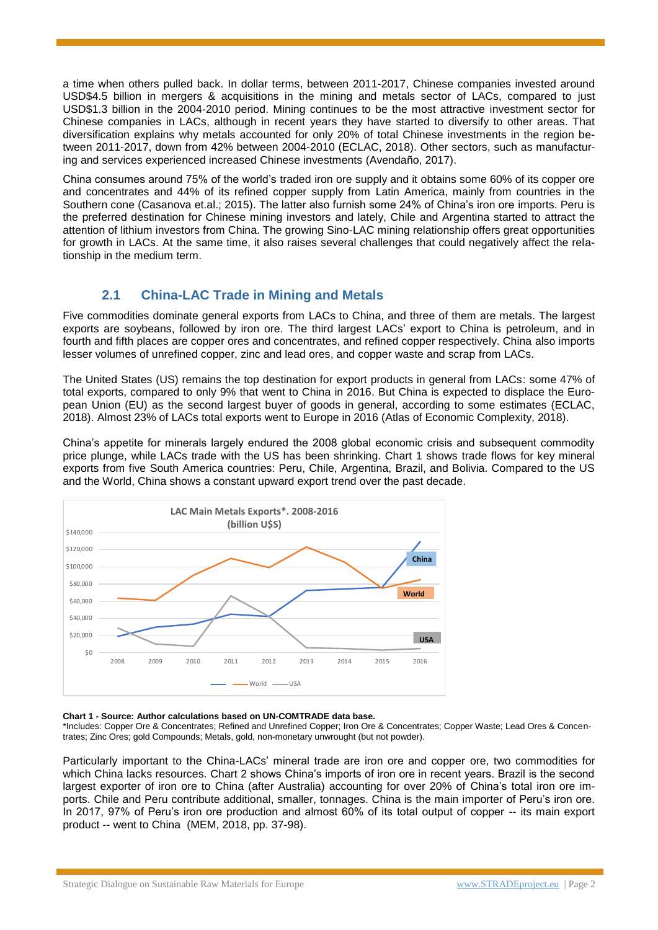a time when others pulled back. In dollar terms, between 2011-2017, Chinese companies invested around USD\$4.5 billion in mergers & acquisitions in the mining and metals sector of LACs, compared to just USD\$1.3 billion in the 2004-2010 period. Mining continues to be the most attractive investment sector for Chinese companies in LACs, although in recent years they have started to diversify to other areas. That diversification explains why metals accounted for only 20% of total Chinese investments in the region between 2011-2017, down from 42% between 2004-2010 (ECLAC, 2018). Other sectors, such as manufacturing and services experienced increased Chinese investments (Avendaño, 2017).

China consumes around 75% of the world's traded iron ore supply and it obtains some 60% of its copper ore and concentrates and 44% of its refined copper supply from Latin America, mainly from countries in the Southern cone (Casanova et.al.; 2015). The latter also furnish some 24% of China's iron ore imports. Peru is the preferred destination for Chinese mining investors and lately, Chile and Argentina started to attract the attention of lithium investors from China. The growing Sino-LAC mining relationship offers great opportunities for growth in LACs. At the same time, it also raises several challenges that could negatively affect the relationship in the medium term.

# **2.1 China-LAC Trade in Mining and Metals**

Five commodities dominate general exports from LACs to China, and three of them are metals. The largest exports are soybeans, followed by iron ore. The third largest LACs' export to China is petroleum, and in fourth and fifth places are copper ores and concentrates, and refined copper respectively. China also imports lesser volumes of unrefined copper, zinc and lead ores, and copper waste and scrap from LACs.

The United States (US) remains the top destination for export products in general from LACs: some 47% of total exports, compared to only 9% that went to China in 2016. But China is expected to displace the European Union (EU) as the second largest buyer of goods in general, according to some estimates (ECLAC, 2018). Almost 23% of LACs total exports went to Europe in 2016 (Atlas of Economic Complexity, 2018).

China's appetite for minerals largely endured the 2008 global economic crisis and subsequent commodity price plunge, while LACs trade with the US has been shrinking. Chart 1 shows trade flows for key mineral exports from five South America countries: Peru, Chile, Argentina, Brazil, and Bolivia. Compared to the US and the World, China shows a constant upward export trend over the past decade.



#### **Chart 1 - Source: Author calculations based on UN-COMTRADE data base.**

\*Includes: Copper Ore & Concentrates; Refined and Unrefined Copper; Iron Ore & Concentrates; Copper Waste; Lead Ores & Concentrates; Zinc Ores; gold Compounds; Metals, gold, non-monetary unwrought (but not powder).

Particularly important to the China-LACs' mineral trade are iron ore and copper ore, two commodities for which China lacks resources. Chart 2 shows China's imports of iron ore in recent years. Brazil is the second largest exporter of iron ore to China (after Australia) accounting for over 20% of China's total iron ore imports. Chile and Peru contribute additional, smaller, tonnages. China is the main importer of Peru's iron ore. In 2017, 97% of Peru's iron ore production and almost 60% of its total output of copper -- its main export product -- went to China (MEM, 2018, pp. 37-98).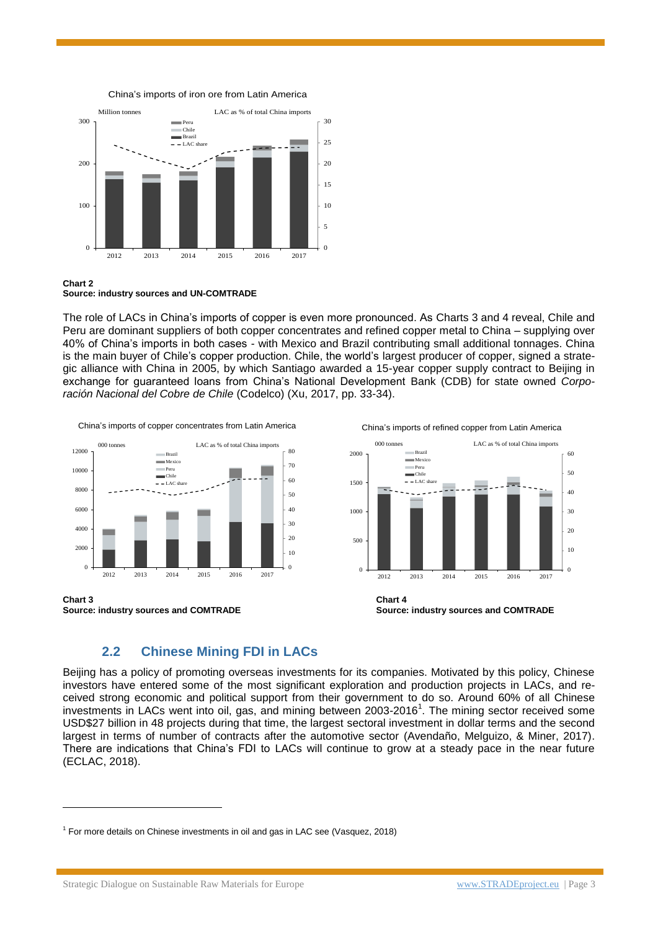

#### China's imports of iron ore from Latin America

#### **Chart 2 Source: industry sources and UN-COMTRADE**

The role of LACs in China's imports of copper is even more pronounced. As Charts 3 and 4 reveal, Chile and Peru are dominant suppliers of both copper concentrates and refined copper metal to China – supplying over 40% of China's imports in both cases - with Mexico and Brazil contributing small additional tonnages. China is the main buyer of Chile's copper production. Chile, the world's largest producer of copper, signed a strategic alliance with China in 2005, by which Santiago awarded a 15-year copper supply contract to Beijing in exchange for guaranteed loans from China's National Development Bank (CDB) for state owned *Corporación Nacional del Cobre de Chile* (Codelco) (Xu, 2017, pp. 33-34).

China's imports of copper concentrates from Latin America



**Chart 3 Chart 4**

 $\overline{a}$ 

China's imports of refined copper from Latin America



#### **2.2 Chinese Mining FDI in LACs**

Beijing has a policy of promoting overseas investments for its companies. Motivated by this policy, Chinese investors have entered some of the most significant exploration and production projects in LACs, and received strong economic and political support from their government to do so. Around 60% of all Chinese investments in LACs went into oil, gas, and mining between 2003-2016<sup>1</sup>. The mining sector received some USD\$27 billion in 48 projects during that time, the largest sectoral investment in dollar terms and the second largest in terms of number of contracts after the automotive sector (Avendaño, Melguizo, & Miner, 2017). There are indications that China's FDI to LACs will continue to grow at a steady pace in the near future (ECLAC, 2018).

<sup>&</sup>lt;sup>1</sup> For more details on Chinese investments in oil and gas in LAC see (Vasquez, 2018)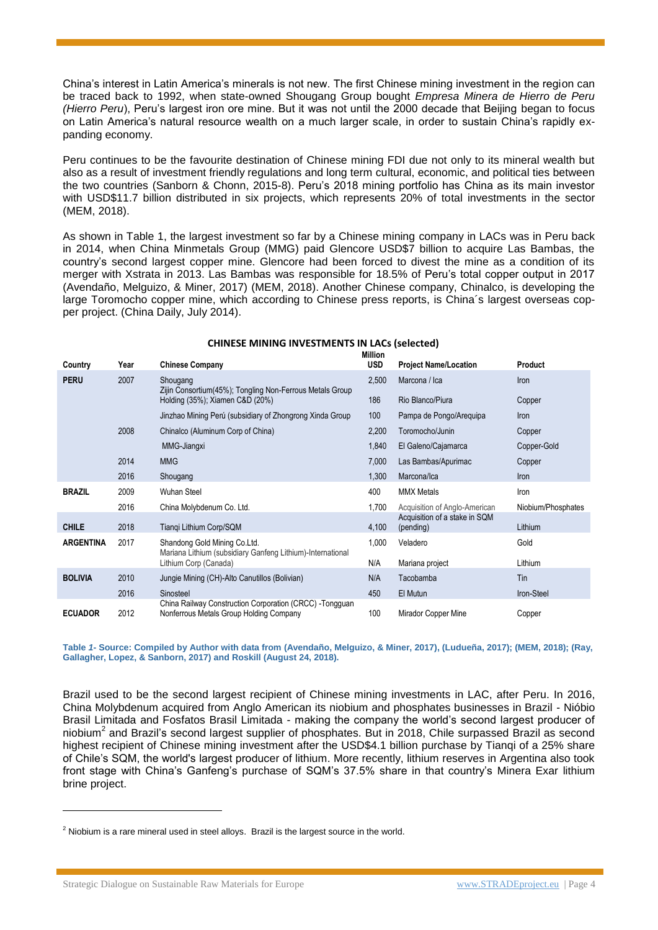China's interest in Latin America's minerals is not new. The first Chinese mining investment in the region can be traced back to 1992, when state-owned Shougang Group bought *Empresa Minera de Hierro de Peru (Hierro Peru*), Peru's largest iron ore mine. But it was not until the 2000 decade that Beijing began to focus on Latin America's natural resource wealth on a much larger scale, in order to sustain China's rapidly expanding economy.

Peru continues to be the favourite destination of Chinese mining FDI due not only to its mineral wealth but also as a result of investment friendly regulations and long term cultural, economic, and political ties between the two countries (Sanborn & Chonn, 2015-8). Peru's 2018 mining portfolio has China as its main investor with USD\$11.7 billion distributed in six projects, which represents 20% of total investments in the sector (MEM, 2018).

As shown in Table 1, the largest investment so far by a Chinese mining company in LACs was in Peru back in 2014, when China Minmetals Group (MMG) paid Glencore USD\$7 billion to acquire Las Bambas, the country's second largest copper mine. Glencore had been forced to divest the mine as a condition of its merger with Xstrata in 2013. Las Bambas was responsible for 18.5% of Peru's total copper output in 2017 (Avendaño, Melguizo, & Miner, 2017) (MEM, 2018). Another Chinese company, Chinalco, is developing the large Toromocho copper mine, which according to Chinese press reports, is China´s largest overseas copper project. (China Daily, July 2014).

| <b>CHINESE MINING INVESTMENTS IN LACs (selected)</b> |  |
|------------------------------------------------------|--|
|                                                      |  |

| Country          | Year | <b>Chinese Company</b>                                                                              | Million<br><b>USD</b> | <b>Project Name/Location</b>               | Product            |
|------------------|------|-----------------------------------------------------------------------------------------------------|-----------------------|--------------------------------------------|--------------------|
| <b>PERU</b>      | 2007 | Shougang<br>Zijin Consortium (45%); Tongling Non-Ferrous Metals Group                               | 2,500                 | Marcona / Ica                              | Iron               |
|                  |      | Holding (35%); Xiamen C&D (20%)                                                                     | 186                   | Rio Blanco/Piura                           | Copper             |
|                  |      | Jinzhao Mining Perú (subsidiary of Zhongrong Xinda Group                                            | 100                   | Pampa de Pongo/Arequipa                    | Iron               |
|                  | 2008 | Chinalco (Aluminum Corp of China)                                                                   | 2,200                 | Toromocho/Junin                            | Copper             |
|                  |      | MMG-Jiangxi                                                                                         | 1,840                 | El Galeno/Cajamarca                        | Copper-Gold        |
|                  | 2014 | <b>MMG</b>                                                                                          | 7,000                 | Las Bambas/Apurimac                        | Copper             |
|                  | 2016 | Shougang                                                                                            | 1,300                 | Marcona/Ica                                | Iron               |
| <b>BRAZIL</b>    | 2009 | Wuhan Steel                                                                                         | 400                   | <b>MMX Metals</b>                          | Iron               |
|                  | 2016 | China Molybdenum Co. Ltd.                                                                           | 1,700                 | Acquisition of Anglo-American              | Niobium/Phosphates |
| <b>CHILE</b>     | 2018 | Tiangi Lithium Corp/SQM                                                                             | 4,100                 | Acquisition of a stake in SQM<br>(pending) | Lithium            |
| <b>ARGENTINA</b> | 2017 | Shandong Gold Mining Co.Ltd.                                                                        | 1,000                 | Veladero                                   | Gold               |
|                  |      | Mariana Lithium (subsidiary Ganfeng Lithium)-International<br>Lithium Corp (Canada)                 | N/A                   | Mariana project                            | Lithium            |
| <b>BOLIVIA</b>   | 2010 | Jungie Mining (CH)-Alto Canutillos (Bolivian)                                                       | N/A                   | Tacobamba                                  | Tin                |
|                  | 2016 | Sinosteel                                                                                           | 450                   | El Mutun                                   | Iron-Steel         |
| <b>ECUADOR</b>   | 2012 | China Railway Construction Corporation (CRCC) - Tongguan<br>Nonferrous Metals Group Holding Company | 100                   | Mirador Copper Mine                        | Copper             |

**Table** *1***- Source: Compiled by Author with data from (Avendaño, Melguizo, & Miner, 2017), (Ludueña, 2017); (MEM, 2018); (Ray, Gallagher, Lopez, & Sanborn, 2017) and Roskill (August 24, 2018).** 

Brazil used to be the second largest recipient of Chinese mining investments in LAC, after Peru. In 2016, China Molybdenum acquired from Anglo American its niobium and phosphates businesses in Brazil - Nióbio Brasil Limitada and Fosfatos Brasil Limitada - making the company the world's second largest producer of niobium<sup>2</sup> and Brazil's second largest supplier of phosphates. But in 2018, Chile surpassed Brazil as second highest recipient of Chinese mining investment after the USD\$4.1 billion purchase by Tianqi of a 25% share of Chile's SQM, the world's largest producer of lithium. More recently, lithium reserves in Argentina also took front stage with China's Ganfeng's purchase of SQM's 37.5% share in that country's Minera Exar lithium brine project.

 $\overline{a}$ 

 $<sup>2</sup>$  Niobium is a rare mineral used in steel alloys. Brazil is the largest source in the world.</sup>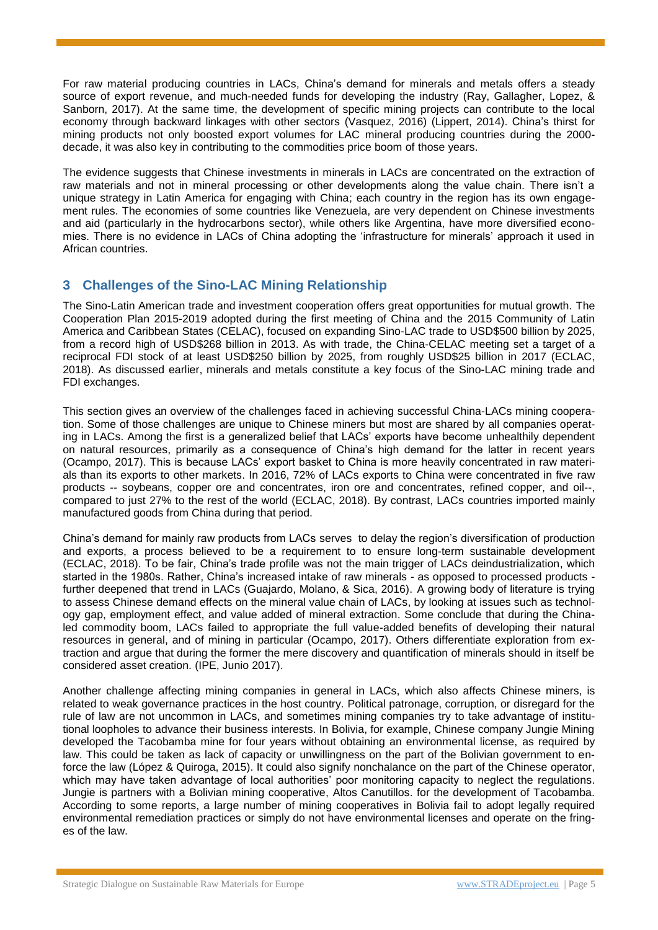For raw material producing countries in LACs, China's demand for minerals and metals offers a steady source of export revenue, and much-needed funds for developing the industry (Ray, Gallagher, Lopez, & Sanborn, 2017). At the same time, the development of specific mining projects can contribute to the local economy through backward linkages with other sectors (Vasquez, 2016) (Lippert, 2014). China's thirst for mining products not only boosted export volumes for LAC mineral producing countries during the 2000 decade, it was also key in contributing to the commodities price boom of those years.

The evidence suggests that Chinese investments in minerals in LACs are concentrated on the extraction of raw materials and not in mineral processing or other developments along the value chain. There isn't a unique strategy in Latin America for engaging with China; each country in the region has its own engagement rules. The economies of some countries like Venezuela, are very dependent on Chinese investments and aid (particularly in the hydrocarbons sector), while others like Argentina, have more diversified economies. There is no evidence in LACs of China adopting the 'infrastructure for minerals' approach it used in African countries.

## **3 Challenges of the Sino-LAC Mining Relationship**

The Sino-Latin American trade and investment cooperation offers great opportunities for mutual growth. The Cooperation Plan 2015-2019 adopted during the first meeting of China and the 2015 Community of Latin America and Caribbean States (CELAC), focused on expanding Sino-LAC trade to USD\$500 billion by 2025, from a record high of USD\$268 billion in 2013. As with trade, the China-CELAC meeting set a target of a reciprocal FDI stock of at least USD\$250 billion by 2025, from roughly USD\$25 billion in 2017 (ECLAC, 2018). As discussed earlier, minerals and metals constitute a key focus of the Sino-LAC mining trade and FDI exchanges.

This section gives an overview of the challenges faced in achieving successful China-LACs mining cooperation. Some of those challenges are unique to Chinese miners but most are shared by all companies operating in LACs. Among the first is a generalized belief that LACs' exports have become unhealthily dependent on natural resources, primarily as a consequence of China's high demand for the latter in recent years (Ocampo, 2017). This is because LACs' export basket to China is more heavily concentrated in raw materials than its exports to other markets. In 2016, 72% of LACs exports to China were concentrated in five raw products -- soybeans, copper ore and concentrates, iron ore and concentrates, refined copper, and oil--, compared to just 27% to the rest of the world (ECLAC, 2018). By contrast, LACs countries imported mainly manufactured goods from China during that period.

China's demand for mainly raw products from LACs serves to delay the region's diversification of production and exports, a process believed to be a requirement to to ensure long-term sustainable development (ECLAC, 2018). To be fair, China's trade profile was not the main trigger of LACs deindustrialization, which started in the 1980s. Rather, China's increased intake of raw minerals - as opposed to processed products further deepened that trend in LACs (Guajardo, Molano, & Sica, 2016). A growing body of literature is trying to assess Chinese demand effects on the mineral value chain of LACs, by looking at issues such as technology gap, employment effect, and value added of mineral extraction. Some conclude that during the Chinaled commodity boom, LACs failed to appropriate the full value-added benefits of developing their natural resources in general, and of mining in particular (Ocampo, 2017). Others differentiate exploration from extraction and argue that during the former the mere discovery and quantification of minerals should in itself be considered asset creation. (IPE, Junio 2017).

Another challenge affecting mining companies in general in LACs, which also affects Chinese miners, is related to weak governance practices in the host country. Political patronage, corruption, or disregard for the rule of law are not uncommon in LACs, and sometimes mining companies try to take advantage of institutional loopholes to advance their business interests. In Bolivia, for example, Chinese company Jungie Mining developed the Tacobamba mine for four years without obtaining an environmental license, as required by law. This could be taken as lack of capacity or unwillingness on the part of the Bolivian government to enforce the law (López & Quiroga, 2015). It could also signify nonchalance on the part of the Chinese operator, which may have taken advantage of local authorities' poor monitoring capacity to neglect the regulations. Jungie is partners with a Bolivian mining cooperative, Altos Canutillos. for the development of Tacobamba. According to some reports, a large number of mining cooperatives in Bolivia fail to adopt legally required environmental remediation practices or simply do not have environmental licenses and operate on the fringes of the law.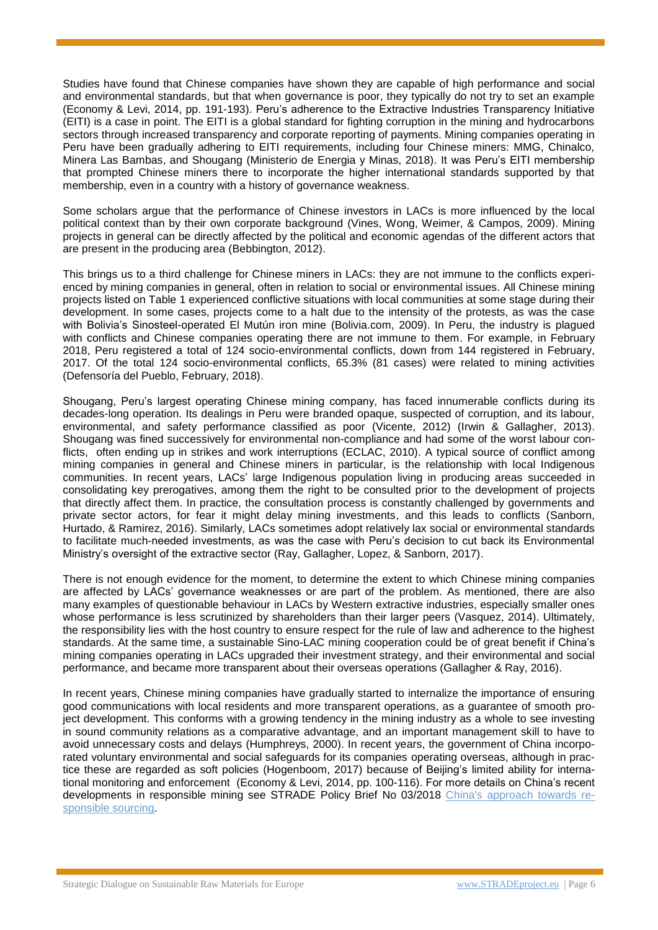Studies have found that Chinese companies have shown they are capable of high performance and social and environmental standards, but that when governance is poor, they typically do not try to set an example (Economy & Levi, 2014, pp. 191-193). Peru's adherence to the Extractive Industries Transparency Initiative (EITI) is a case in point. The EITI is a global standard for fighting corruption in the mining and hydrocarbons sectors through increased transparency and corporate reporting of payments. Mining companies operating in Peru have been gradually adhering to EITI requirements, including four Chinese miners: MMG, Chinalco, Minera Las Bambas, and Shougang (Ministerio de Energia y Minas, 2018). It was Peru's EITI membership that prompted Chinese miners there to incorporate the higher international standards supported by that membership, even in a country with a history of governance weakness.

Some scholars argue that the performance of Chinese investors in LACs is more influenced by the local political context than by their own corporate background (Vines, Wong, Weimer, & Campos, 2009). Mining projects in general can be directly affected by the political and economic agendas of the different actors that are present in the producing area (Bebbington, 2012).

This brings us to a third challenge for Chinese miners in LACs: they are not immune to the conflicts experienced by mining companies in general, often in relation to social or environmental issues. All Chinese mining projects listed on Table 1 experienced conflictive situations with local communities at some stage during their development. In some cases, projects come to a halt due to the intensity of the protests, as was the case with Bolivia's Sinosteel-operated El Mutún iron mine (Bolivia.com, 2009). In Peru, the industry is plagued with conflicts and Chinese companies operating there are not immune to them. For example, in February 2018, Peru registered a total of 124 socio-environmental conflicts, down from 144 registered in February, 2017. Of the total 124 socio-environmental conflicts, 65.3% (81 cases) were related to mining activities (Defensoría del Pueblo, February, 2018).

Shougang, Peru's largest operating Chinese mining company, has faced innumerable conflicts during its decades-long operation. Its dealings in Peru were branded opaque, suspected of corruption, and its labour, environmental, and safety performance classified as poor (Vicente, 2012) (Irwin & Gallagher, 2013). Shougang was fined successively for environmental non-compliance and had some of the worst labour conflicts, often ending up in strikes and work interruptions (ECLAC, 2010). A typical source of conflict among mining companies in general and Chinese miners in particular, is the relationship with local Indigenous communities. In recent years, LACs' large Indigenous population living in producing areas succeeded in consolidating key prerogatives, among them the right to be consulted prior to the development of projects that directly affect them. In practice, the consultation process is constantly challenged by governments and private sector actors, for fear it might delay mining investments, and this leads to conflicts (Sanborn, Hurtado, & Ramirez, 2016). Similarly, LACs sometimes adopt relatively lax social or environmental standards to facilitate much-needed investments, as was the case with Peru's decision to cut back its Environmental Ministry's oversight of the extractive sector (Ray, Gallagher, Lopez, & Sanborn, 2017).

There is not enough evidence for the moment, to determine the extent to which Chinese mining companies are affected by LACs' governance weaknesses or are part of the problem. As mentioned, there are also many examples of questionable behaviour in LACs by Western extractive industries, especially smaller ones whose performance is less scrutinized by shareholders than their larger peers (Vasquez, 2014). Ultimately, the responsibility lies with the host country to ensure respect for the rule of law and adherence to the highest standards. At the same time, a sustainable Sino-LAC mining cooperation could be of great benefit if China's mining companies operating in LACs upgraded their investment strategy, and their environmental and social performance, and became more transparent about their overseas operations (Gallagher & Ray, 2016).

In recent years, Chinese mining companies have gradually started to internalize the importance of ensuring good communications with local residents and more transparent operations, as a guarantee of smooth project development. This conforms with a growing tendency in the mining industry as a whole to see investing in sound community relations as a comparative advantage, and an important management skill to have to avoid unnecessary costs and delays (Humphreys, 2000). In recent years, the government of China incorporated voluntary environmental and social safeguards for its companies operating overseas, although in practice these are regarded as soft policies (Hogenboom, 2017) because of Beijing's limited ability for international monitoring and enforcement (Economy & Levi, 2014, pp. 100-116). For more details on China's recent developments in responsible mining see STRADE Policy Brief No 03/2018 [China's approach towards re](http://stradeproject.eu/fileadmin/user_upload/pdf/STRADE_PB_03_2018_China_responsible_sourcing.pdf)[sponsible sourcing.](http://stradeproject.eu/fileadmin/user_upload/pdf/STRADE_PB_03_2018_China_responsible_sourcing.pdf)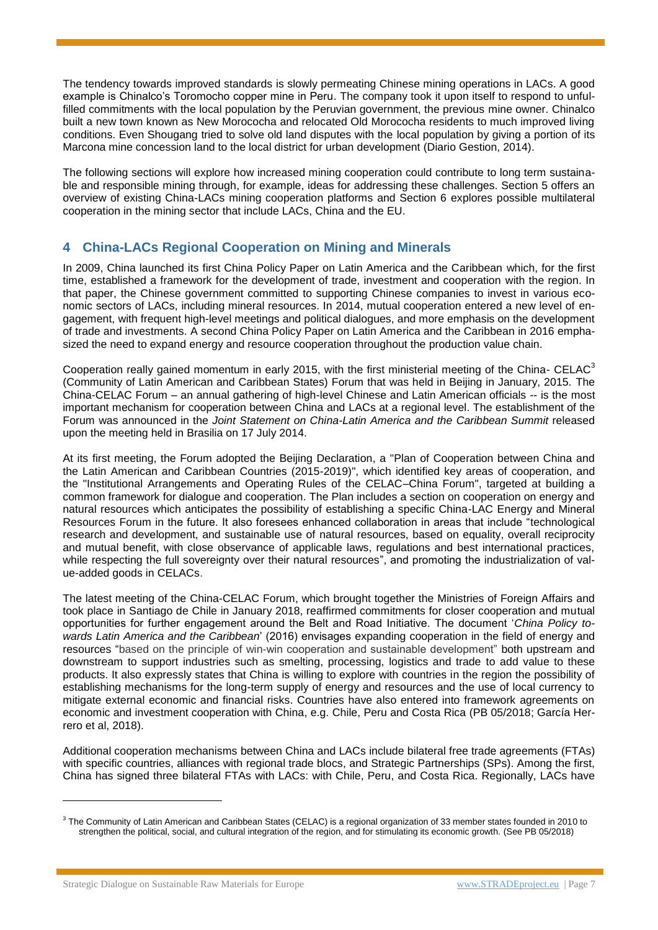The tendency towards improved standards is slowly permeating Chinese mining operations in LACs. A good example is Chinalco's Toromocho copper mine in Peru. The company took it upon itself to respond to unfulfilled commitments with the local population by the Peruvian government, the previous mine owner. Chinalco built a new town known as New Morococha and relocated Old Morococha residents to much improved living conditions. Even Shougang tried to solve old land disputes with the local population by giving a portion of its Marcona mine concession land to the local district for urban development (Diario Gestion, 2014).

The following sections will explore how increased mining cooperation could contribute to long term sustainable and responsible mining through, for example, ideas for addressing these challenges. Section 5 offers an overview of existing China-LACs mining cooperation platforms and Section 6 explores possible multilateral cooperation in the mining sector that include LACs, China and the EU.

## **4 China-LACs Regional Cooperation on Mining and Minerals**

In 2009, China launched its first China Policy Paper on Latin America and the Caribbean which, for the first time, established a framework for the development of trade, investment and cooperation with the region. In that paper, the Chinese government committed to supporting Chinese companies to invest in various economic sectors of LACs, including mineral resources. In 2014, mutual cooperation entered a new level of engagement, with frequent high-level meetings and political dialogues, and more emphasis on the development of trade and investments. A second China Policy Paper on Latin America and the Caribbean in 2016 emphasized the need to expand energy and resource cooperation throughout the production value chain.

Cooperation really gained momentum in early 2015, with the first ministerial meeting of the China- CELAC<sup>3</sup> (Community of Latin American and Caribbean States) Forum that was held in Beijing in January, 2015. The China-CELAC Forum – an annual gathering of high-level Chinese and Latin American officials -- is the most important mechanism for cooperation between China and LACs at a regional level. The establishment of the Forum was announced in the *Joint Statement on China-Latin America and the Caribbean Summit* released upon the meeting held in Brasilia on 17 July 2014.

At its first meeting, the Forum adopted the Beijing Declaration, a "Plan of Cooperation between China and the Latin American and Caribbean Countries (2015-2019)", which identified key areas of cooperation, and the "Institutional Arrangements and Operating Rules of the CELAC–China Forum", targeted at building a common framework for dialogue and cooperation. The Plan includes a section on cooperation on energy and natural resources which anticipates the possibility of establishing a specific China-LAC Energy and Mineral Resources Forum in the future. It also foresees enhanced collaboration in areas that include "technological research and development, and sustainable use of natural resources, based on equality, overall reciprocity and mutual benefit, with close observance of applicable laws, regulations and best international practices, while respecting the full sovereignty over their natural resources", and promoting the industrialization of value-added goods in CELACs.

The latest meeting of the China-CELAC Forum, which brought together the Ministries of Foreign Affairs and took place in Santiago de Chile in January 2018, reaffirmed commitments for closer cooperation and mutual opportunities for further engagement around the Belt and Road Initiative. The document '*China Policy towards Latin America and the Caribbean*' (2016) envisages expanding cooperation in the field of energy and resources "based on the principle of win-win cooperation and sustainable development" both upstream and downstream to support industries such as smelting, processing, logistics and trade to add value to these products. It also expressly states that China is willing to explore with countries in the region the possibility of establishing mechanisms for the long-term supply of energy and resources and the use of local currency to mitigate external economic and financial risks. Countries have also entered into framework agreements on economic and investment cooperation with China, e.g. Chile, Peru and Costa Rica (PB 05/2018; García Herrero et al, 2018).

Additional cooperation mechanisms between China and LACs include bilateral free trade agreements (FTAs) with specific countries, alliances with regional trade blocs, and Strategic Partnerships (SPs). Among the first, China has signed three bilateral FTAs with LACs: with Chile, Peru, and Costa Rica. Regionally, LACs have

 $\overline{a}$ 

 $3$  The Community of Latin American and Caribbean States (CELAC) is a regional organization of 33 member states founded in 2010 to strengthen the political, social, and cultural integration of the region, and for stimulating its economic growth. (See PB 05/2018)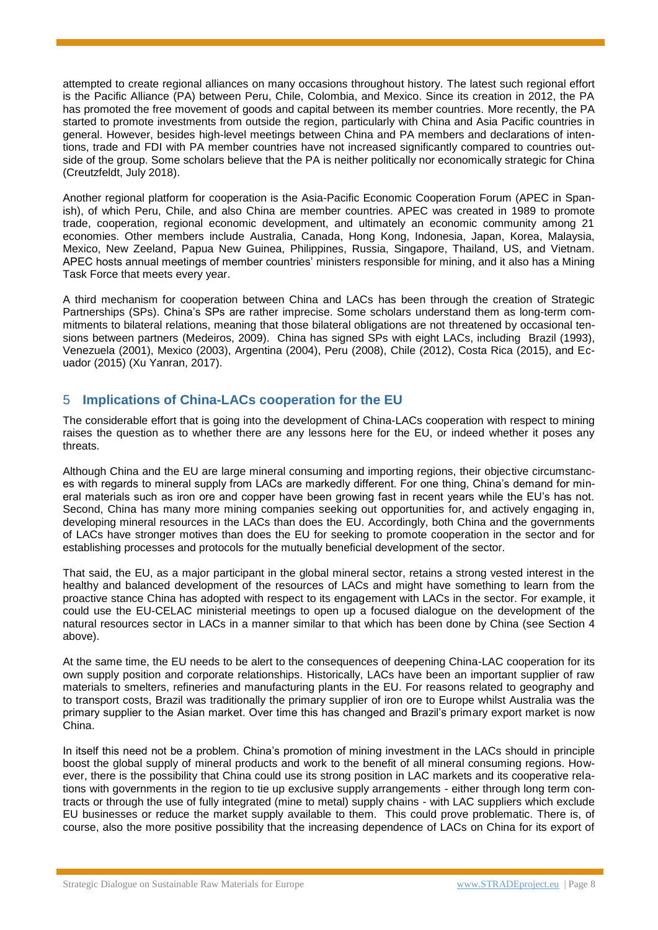attempted to create regional alliances on many occasions throughout history. The latest such regional effort is the Pacific Alliance (PA) between Peru, Chile, Colombia, and Mexico. Since its creation in 2012, the PA has promoted the free movement of goods and capital between its member countries. More recently, the PA started to promote investments from outside the region, particularly with China and Asia Pacific countries in general. However, besides high-level meetings between China and PA members and declarations of intentions, trade and FDI with PA member countries have not increased significantly compared to countries outside of the group. Some scholars believe that the PA is neither politically nor economically strategic for China (Creutzfeldt, July 2018).

Another regional platform for cooperation is the Asia-Pacific Economic Cooperation Forum (APEC in Spanish), of which Peru, Chile, and also China are member countries. APEC was created in 1989 to promote trade, cooperation, regional economic development, and ultimately an economic community among 21 economies. Other members include Australia, Canada, Hong Kong, Indonesia, Japan, Korea, Malaysia, Mexico, New Zeeland, Papua New Guinea, Philippines, Russia, Singapore, Thailand, US, and Vietnam. APEC hosts annual meetings of member countries' ministers responsible for mining, and it also has a Mining Task Force that meets every year.

A third mechanism for cooperation between China and LACs has been through the creation of Strategic Partnerships (SPs). China's SPs are rather imprecise. Some scholars understand them as long-term commitments to bilateral relations, meaning that those bilateral obligations are not threatened by occasional tensions between partners (Medeiros, 2009). China has signed SPs with eight LACs, including Brazil (1993), Venezuela (2001), Mexico (2003), Argentina (2004), Peru (2008), Chile (2012), Costa Rica (2015), and Ecuador (2015) (Xu Yanran, 2017).

#### 5 **Implications of China-LACs cooperation for the EU**

The considerable effort that is going into the development of China-LACs cooperation with respect to mining raises the question as to whether there are any lessons here for the EU, or indeed whether it poses any threats.

Although China and the EU are large mineral consuming and importing regions, their objective circumstances with regards to mineral supply from LACs are markedly different. For one thing, China's demand for mineral materials such as iron ore and copper have been growing fast in recent years while the EU's has not. Second, China has many more mining companies seeking out opportunities for, and actively engaging in, developing mineral resources in the LACs than does the EU. Accordingly, both China and the governments of LACs have stronger motives than does the EU for seeking to promote cooperation in the sector and for establishing processes and protocols for the mutually beneficial development of the sector.

That said, the EU, as a major participant in the global mineral sector, retains a strong vested interest in the healthy and balanced development of the resources of LACs and might have something to learn from the proactive stance China has adopted with respect to its engagement with LACs in the sector. For example, it could use the EU-CELAC ministerial meetings to open up a focused dialogue on the development of the natural resources sector in LACs in a manner similar to that which has been done by China (see Section 4 above).

At the same time, the EU needs to be alert to the consequences of deepening China-LAC cooperation for its own supply position and corporate relationships. Historically, LACs have been an important supplier of raw materials to smelters, refineries and manufacturing plants in the EU. For reasons related to geography and to transport costs, Brazil was traditionally the primary supplier of iron ore to Europe whilst Australia was the primary supplier to the Asian market. Over time this has changed and Brazil's primary export market is now China.

In itself this need not be a problem. China's promotion of mining investment in the LACs should in principle boost the global supply of mineral products and work to the benefit of all mineral consuming regions. However, there is the possibility that China could use its strong position in LAC markets and its cooperative relations with governments in the region to tie up exclusive supply arrangements - either through long term contracts or through the use of fully integrated (mine to metal) supply chains - with LAC suppliers which exclude EU businesses or reduce the market supply available to them. This could prove problematic. There is, of course, also the more positive possibility that the increasing dependence of LACs on China for its export of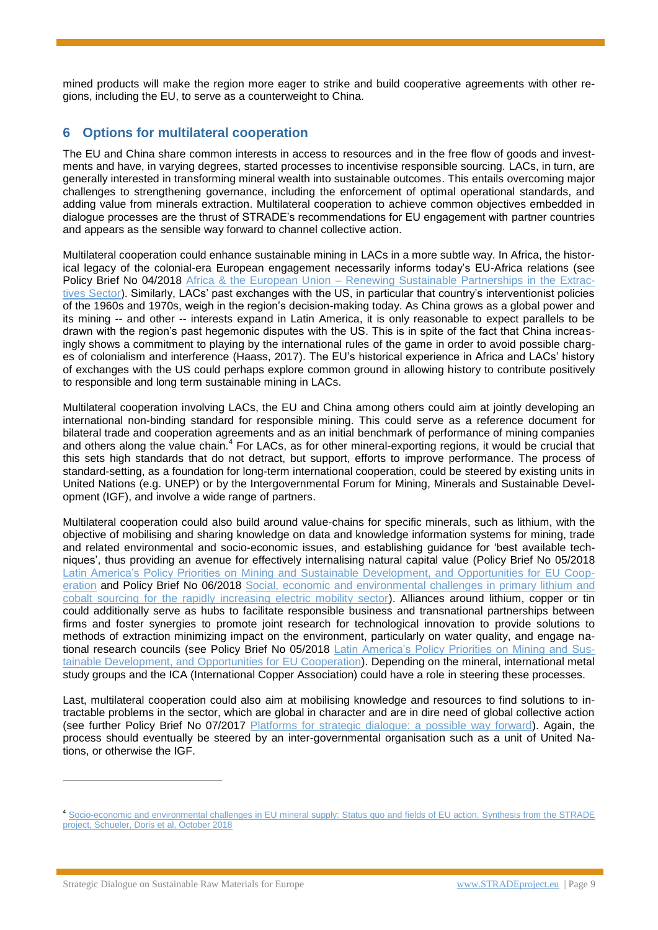mined products will make the region more eager to strike and build cooperative agreements with other regions, including the EU, to serve as a counterweight to China.

## **6 Options for multilateral cooperation**

The EU and China share common interests in access to resources and in the free flow of goods and investments and have, in varying degrees, started processes to incentivise responsible sourcing. LACs, in turn, are generally interested in transforming mineral wealth into sustainable outcomes. This entails overcoming major challenges to strengthening governance, including the enforcement of optimal operational standards, and adding value from minerals extraction. Multilateral cooperation to achieve common objectives embedded in dialogue processes are the thrust of STRADE's recommendations for EU engagement with partner countries and appears as the sensible way forward to channel collective action.

Multilateral cooperation could enhance sustainable mining in LACs in a more subtle way. In Africa, the historical legacy of the colonial-era European engagement necessarily informs today's EU-Africa relations (see Policy Brief No 04/2018 Africa & the European Union - [Renewing Sustainable Partnerships in](http://stradeproject.eu/fileadmin/user_upload/pdf/STRADE_PB_04_2018__Africa___EU_partnership.pdf) the Extrac[tives Sector\)](http://stradeproject.eu/fileadmin/user_upload/pdf/STRADE_PB_04_2018__Africa___EU_partnership.pdf). Similarly, LACs' past exchanges with the US, in particular that country's interventionist policies of the 1960s and 1970s, weigh in the region's decision-making today. As China grows as a global power and its mining -- and other -- interests expand in Latin America, it is only reasonable to expect parallels to be drawn with the region's past hegemonic disputes with the US. This is in spite of the fact that China increasingly shows a commitment to playing by the international rules of the game in order to avoid possible charges of colonialism and interference (Haass, 2017). The EU's historical experience in Africa and LACs' history of exchanges with the US could perhaps explore common ground in allowing history to contribute positively to responsible and long term sustainable mining in LACs.

Multilateral cooperation involving LACs, the EU and China among others could aim at jointly developing an international non-binding standard for responsible mining. This could serve as a reference document for bilateral trade and cooperation agreements and as an initial benchmark of performance of mining companies and others along the value chain.<sup>4</sup> For LACs, as for other mineral-exporting regions, it would be crucial that this sets high standards that do not detract, but support, efforts to improve performance. The process of standard-setting, as a foundation for long-term international cooperation, could be steered by existing units in United Nations (e.g. UNEP) or by the Intergovernmental Forum for Mining, Minerals and Sustainable Development (IGF), and involve a wide range of partners.

Multilateral cooperation could also build around value-chains for specific minerals, such as lithium, with the objective of mobilising and sharing knowledge on data and knowledge information systems for mining, trade and related environmental and socio-economic issues, and establishing guidance for 'best available techniques', thus providing an avenue for effectively internalising natural capital value (Policy Brief No 05/2018 [Latin America's Policy Priorities on Mining and Sustainable Development, and Opportunities for EU Coop](http://stradeproject.eu/fileadmin/user_upload/pdf/STRADE_PB_LATAM_policy.pdf)[eration](http://stradeproject.eu/fileadmin/user_upload/pdf/STRADE_PB_LATAM_policy.pdf) and Policy Brief No 06/2018 [Social, economic and environmental challenges in primary lithium and](http://stradeproject.eu/fileadmin/user_upload/pdf/STRADE_PB_Li_Co_EMobility.pdf)  [cobalt sourcing for the rapidly increasing electric mobility sector\)](http://stradeproject.eu/fileadmin/user_upload/pdf/STRADE_PB_Li_Co_EMobility.pdf). Alliances around lithium, copper or tin could additionally serve as hubs to facilitate responsible business and transnational partnerships between firms and foster synergies to promote joint research for technological innovation to provide solutions to methods of extraction minimizing impact on the environment, particularly on water quality, and engage national research councils (see Policy Brief No 05/2018 [Latin America's Policy Priorities on Mining and Sus](http://stradeproject.eu/fileadmin/user_upload/pdf/STRADE_PB_LATAM_policy.pdf)[tainable Development, and Opportunities for EU Cooperation\)](http://stradeproject.eu/fileadmin/user_upload/pdf/STRADE_PB_LATAM_policy.pdf). Depending on the mineral, international metal study groups and the ICA (International Copper Association) could have a role in steering these processes.

Last, multilateral cooperation could also aim at mobilising knowledge and resources to find solutions to intractable problems in the sector, which are global in character and are in dire need of global collective action (see further Policy Brief No 07/2017 [Platforms for strategic dialogue: a possible way forward\)](http://stradeproject.eu/fileadmin/user_upload/pdf/STRADE_PB07_D4-21_IRGA_Jul2017_FINAL.pdf). Again, the process should eventually be steered by an inter-governmental organisation such as a unit of United Nations, or otherwise the IGF.

 $\overline{a}$ 

<sup>4</sup> [Socio-economic and environmental challenges in EU mineral supply: Status quo and fields of EU action. Synthesis from the STRADE](http://www.stradeproject.eu/fileadmin/user_upload/pdf/STRADE__synthesis_env_social_challenges.pdf)  [project, Schueler, Doris et al, October 2018](http://www.stradeproject.eu/fileadmin/user_upload/pdf/STRADE__synthesis_env_social_challenges.pdf)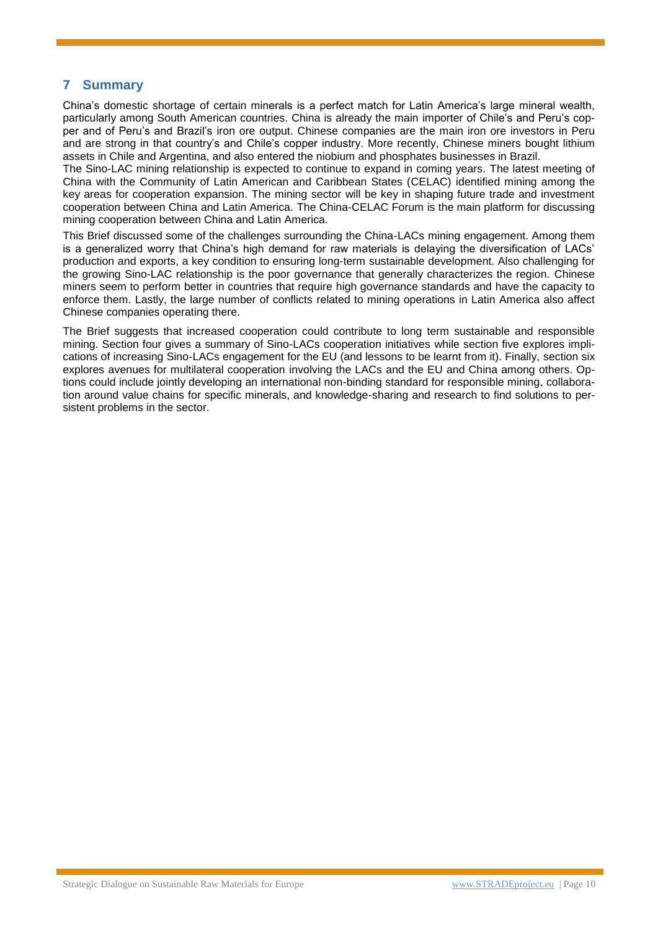#### **7 Summary**

China's domestic shortage of certain minerals is a perfect match for Latin America's large mineral wealth, particularly among South American countries. China is already the main importer of Chile's and Peru's copper and of Peru's and Brazil's iron ore output. Chinese companies are the main iron ore investors in Peru and are strong in that country's and Chile's copper industry. More recently, Chinese miners bought lithium assets in Chile and Argentina, and also entered the niobium and phosphates businesses in Brazil.

The Sino-LAC mining relationship is expected to continue to expand in coming years. The latest meeting of China with the Community of Latin American and Caribbean States (CELAC) identified mining among the key areas for cooperation expansion. The mining sector will be key in shaping future trade and investment cooperation between China and Latin America. The China-CELAC Forum is the main platform for discussing mining cooperation between China and Latin America.

This Brief discussed some of the challenges surrounding the China-LACs mining engagement. Among them is a generalized worry that China's high demand for raw materials is delaying the diversification of LACs' production and exports, a key condition to ensuring long-term sustainable development. Also challenging for the growing Sino-LAC relationship is the poor governance that generally characterizes the region. Chinese miners seem to perform better in countries that require high governance standards and have the capacity to enforce them. Lastly, the large number of conflicts related to mining operations in Latin America also affect Chinese companies operating there.

The Brief suggests that increased cooperation could contribute to long term sustainable and responsible mining. Section four gives a summary of Sino-LACs cooperation initiatives while section five explores implications of increasing Sino-LACs engagement for the EU (and lessons to be learnt from it). Finally, section six explores avenues for multilateral cooperation involving the LACs and the EU and China among others. Options could include jointly developing an international non-binding standard for responsible mining, collaboration around value chains for specific minerals, and knowledge-sharing and research to find solutions to persistent problems in the sector.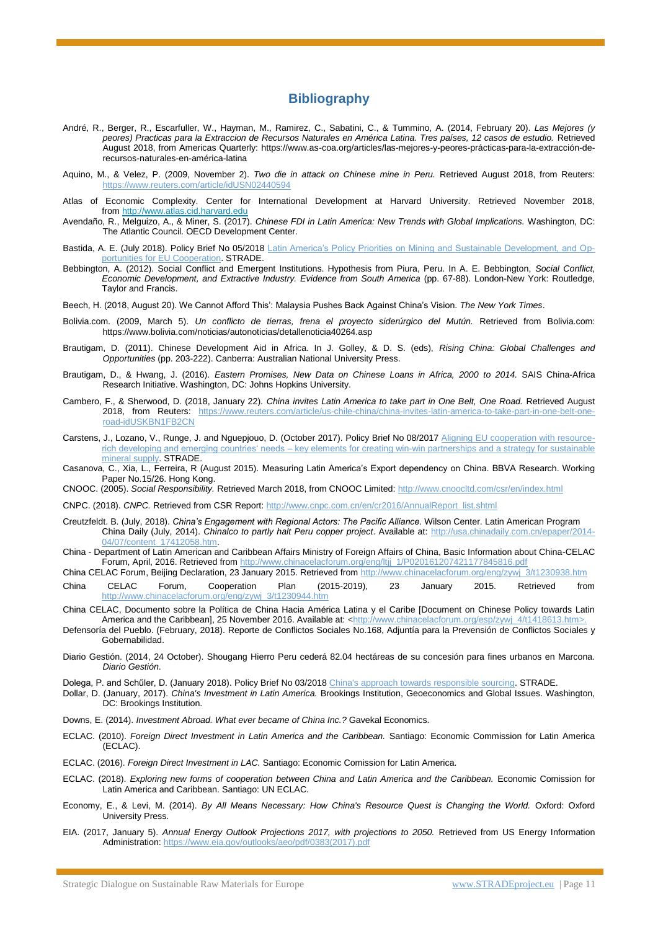#### **Bibliography**

- André, R., Berger, R., Escarfuller, W., Hayman, M., Ramirez, C., Sabatini, C., & Tummino, A. (2014, February 20). *Las Mejores (y peores) Practicas para la Extraccion de Recursos Naturales en América Latina. Tres países, 12 casos de estudio.* Retrieved August 2018, from Americas Quarterly: https://www.as-coa.org/articles/las-mejores-y-peores-prácticas-para-la-extracción-derecursos-naturales-en-américa-latina
- Aquino, M., & Velez, P. (2009, November 2). *Two die in attack on Chinese mine in Peru.* Retrieved August 2018, from Reuters: reuters.com/article/idUSN02440594
- Atlas of Economic Complexity. Center for International Development at Harvard University. Retrieved November 2018, from [http://www.atlas.cid.harvard.edu](http://www.atlas.cid.harvard.edu/)
- Avendaño, R., Melguizo, A., & Miner, S. (2017). *Chinese FDI in Latin America: New Trends with Global Implications.* Washington, DC: The Atlantic Council. OECD Development Center.
- Bastida, A. E. (July 2018). Policy Brief No 05/2018 [Latin America's Policy Priorities on Mining and Sustainable Development, and Op](http://stradeproject.eu/fileadmin/user_upload/pdf/STRADE_PB_LATAM_policy.pdf)[portunities for EU Cooperation.](http://stradeproject.eu/fileadmin/user_upload/pdf/STRADE_PB_LATAM_policy.pdf) STRADE.
- Bebbington, A. (2012). Social Conflict and Emergent Institutions. Hypothesis from Piura, Peru. In A. E. Bebbington, *Social Conflict, Economic Development, and Extractive Industry. Evidence from South America* (pp. 67-88). London-New York: Routledge, Taylor and Francis.
- Beech, H. (2018, August 20). We Cannot Afford This': Malaysia Pushes Back Against China's Vision. *The New York Times*.
- Bolivia.com. (2009, March 5). *Un conflicto de tierras, frena el proyecto siderúrgico del Mutún.* Retrieved from Bolivia.com: https://www.bolivia.com/noticias/autonoticias/detallenoticia40264.asp
- Brautigam, D. (2011). Chinese Development Aid in Africa. In J. Golley, & D. S. (eds), *Rising China: Global Challenges and Opportunities* (pp. 203-222). Canberra: Australian National University Press.
- Brautigam, D., & Hwang, J. (2016). *Eastern Promises, New Data on Chinese Loans in Africa, 2000 to 2014.* SAIS China-Africa Research Initiative. Washington, DC: Johns Hopkins University.
- Cambero, F., & Sherwood, D. (2018, January 22). *China invites Latin America to take part in One Belt, One Road.* Retrieved August 2018, from Reuters: [https://www.reuters.com/article/us-chile-china/china-invites-latin-america-to-take-part-in-one-belt-one](https://www.reuters.com/article/us-chile-china/china-invites-latin-america-to-take-part-in-one-belt-one-road-idUSKBN1FB2CN)[road-idUSKBN1FB2CN](https://www.reuters.com/article/us-chile-china/china-invites-latin-america-to-take-part-in-one-belt-one-road-idUSKBN1FB2CN)
- Carstens, J., Lozano, V., Runge, J. and Nguepjouo, D. (October 2017). Policy Brief No 08/2017 [Aligning EU cooperation with resource](http://stradeproject.eu/fileadmin/user_upload/pdf/WP3_3_1-Policy-Brief-D-3-7_08-2017_v03_final_20170925.pdf)rich developing and emerging countries' needs – [key elements for creating win-win partnerships and a strategy for sustainable](http://stradeproject.eu/fileadmin/user_upload/pdf/WP3_3_1-Policy-Brief-D-3-7_08-2017_v03_final_20170925.pdf)  [mineral supply.](http://stradeproject.eu/fileadmin/user_upload/pdf/WP3_3_1-Policy-Brief-D-3-7_08-2017_v03_final_20170925.pdf) STRADE.
- Casanova, C., Xia, L., Ferreira, R (August 2015). Measuring Latin America's Export dependency on China. BBVA Research. Working Paper No.15/26. Hong Kong.
- CNOOC. (2005). *Social Responsibility.* Retrieved March 2018, from CNOOC Limited:<http://www.cnoocltd.com/csr/en/index.html>
- CNPC. (2018). *CNPC.* Retrieved from CSR Report: [http://www.cnpc.com.cn/en/cr2016/AnnualReport\\_list.shtml](http://www.cnpc.com.cn/en/cr2016/AnnualReport_list.shtml)
- Creutzfeldt. B. (July, 2018). *China's Engagement with Regional Actors: The Pacific Alliance.* Wilson Center. Latin American Program China Daily (July, 2014). *Chinalco to partly halt Peru copper project*. Available at: [http://usa.chinadaily.com.cn/epaper/2014-](http://usa.chinadaily.com.cn/epaper/2014-04/07/content_17412058.htm)  $.html.$
- China Department of Latin American and Caribbean Affairs Ministry of Foreign Affairs of China, Basic Information about China-CELAC Forum, April, 2016. Retrieved from [http://www.chinacelacforum.org/eng/ltjj\\_1/P020161207421177845816.pdf](http://www.chinacelacforum.org/eng/ltjj_1/P020161207421177845816.pdf)
- China CELAC Forum, Beijing Declaration, 23 January 2015. Retrieved from [http://www.chinacelacforum.org/eng/zywj\\_3/t1230938.htm](http://www.chinacelacforum.org/eng/zywj_3/t1230938.htm) China CELAC Forum, Cooperation Plan (2015-2019), 23 January 2015. Retrieved from
- [http://www.chinacelacforum.org/eng/zywj\\_3/t1230944.htm](http://www.chinacelacforum.org/eng/zywj_3/t1230944.htm) China CELAC, Documento sobre la Política de China Hacia América Latina y el Caribe [Document on Chinese Policy towards Latin America and the Caribbean], 25 November 2016. Available at: [<http://www.chinacelacforum.org/esp/zywj\\_4/t1418613.htm>](http://www.chinacelacforum.org/esp/zywj_4/t1418613.htm)
- Defensoría del Pueblo. (February, 2018). Reporte de Conflictos Sociales No.168, Adjuntía para la Prevensión de Conflictos Sociales y Gobernabilidad.
- Diario Gestión. (2014, 24 October). Shougang Hierro Peru cederá 82.04 hectáreas de su concesión para fines urbanos en Marcona. *Diario Gestión*.
- Dolega, P. and Schűler, D. (January 2018). Policy Brief No 03/2018 [China's approach towards responsible sourcing.](http://stradeproject.eu/fileadmin/user_upload/pdf/STRADE_PB_03_2018_China_responsible_sourcing.pdf) STRADE.
- Dollar, D. (January, 2017). *China's Investment in Latin America.* Brookings Institution, Geoeconomics and Global Issues. Washington, DC: Brookings Institution.
- Downs, E. (2014). *Investment Abroad. What ever became of China Inc.?* Gavekal Economics.
- ECLAC. (2010). *Foreign Direct Investment in Latin America and the Caribbean.* Santiago: Economic Commission for Latin America (ECLAC).
- ECLAC. (2016). *Foreign Direct Investment in LAC.* Santiago: Economic Comission for Latin America.
- ECLAC. (2018). *Exploring new forms of cooperation between China and Latin America and the Caribbean.* Economic Comission for Latin America and Caribbean. Santiago: UN ECLAC.
- Economy, E., & Levi, M. (2014). *By All Means Necessary: How China's Resource Quest is Changing the World.* Oxford: Oxford University Press.
- EIA. (2017, January 5). *Annual Energy Outlook Projections 2017, with projections to 2050.* Retrieved from US Energy Information Administration: [https://www.eia.gov/outlooks/aeo/pdf/0383\(2017\).pdf](https://www.eia.gov/outlooks/aeo/pdf/0383(2017).pdf)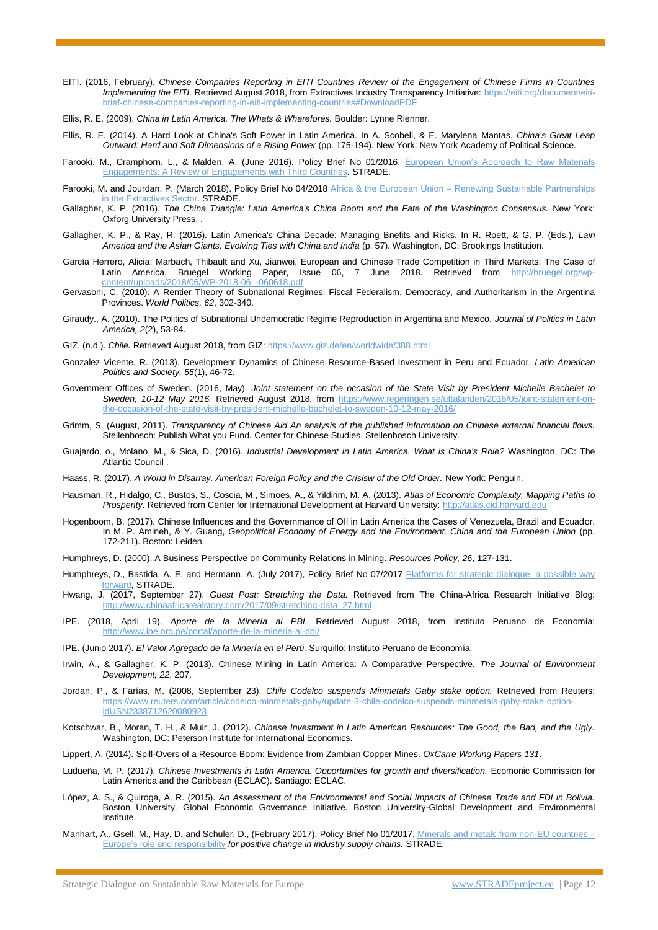- EITI. (2016, February). *Chinese Companies Reporting in EITI Countries Review of the Engagement of Chinese Firms in Countries Implementing the EITI.* Retrieved August 2018, from Extractives Industry Transparency Initiative: [https://eiti.org/document/eiti](https://eiti.org/document/eiti-brief-chinese-companies-reporting-in-eiti-implementing-countries#DownloadPDF)[brief-chinese-companies-reporting-in-eiti-implementing-countries#DownloadPDF](https://eiti.org/document/eiti-brief-chinese-companies-reporting-in-eiti-implementing-countries#DownloadPDF)
- Ellis, R. E. (2009). *China in Latin America. The Whats & Wherefores.* Boulder: Lynne Rienner.
- Ellis, R. E. (2014). A Hard Look at China's Soft Power in Latin America. In A. Scobell, & E. Marylena Mantas, *China's Great Leap Outward: Hard and Soft Dimensions of a Rising Power* (pp. 175-194). New York: New York Academy of Political Science.
- Farooki, M., Cramphorn, L., & Malden, A. (June 2016). Policy Brief No 01/2016. European Union's Approach to Raw Materials [Engagements: A Review of Engagements with Third Countries](http://stradeproject.eu/fileadmin/user_upload/pdf/PolicyBrief_01-2016_May2016_FINAL.pdf)*.* STRADE.
- Farooki, M. and Jourdan, P. (March 2018). Policy Brief No 04/2018 Africa & the European Union Renewing Sustainable Partnerships [in the Extractives Sector.](http://stradeproject.eu/fileadmin/user_upload/pdf/STRADE_PB_04_2018__Africa___EU_partnership.pdf) STRADE.
- Gallagher, K. P. (2016). *The China Triangle: Latin America's China Boom and the Fate of the Washington Consensus.* New York: Oxforg University Press. .
- Gallagher, K. P., & Ray, R. (2016). Latin America's China Decade: Managing Bnefits and Risks. In R. Roett, & G. P. (Eds.), *Lain America and the Asian Giants. Evolving Ties with China and India* (p. 57). Washington, DC: Brookings Institution.
- García Herrero, Alicia; Marbach, Thibault and Xu, Jianwei, European and Chinese Trade Competition in Third Markets: The Case of Latin America, Bruegel Working Paper, Issue 06, 7 June 2018. Retrieved from [http://bruegel.org/wp](http://bruegel.org/wp-content/uploads/2018/06/WP-2018-06_-060618.pdf)[content/uploads/2018/06/WP-2018-06\\_-060618.pdf](http://bruegel.org/wp-content/uploads/2018/06/WP-2018-06_-060618.pdf)
- Gervasoni, C. (2010). A Rentier Theory of Subnational Regimes: Fiscal Federalism, Democracy, and Authoritarism in the Argentina Provinces. *World Politics, 62*, 302-340.
- Giraudy., A. (2010). The Politics of Subnational Undemocratic Regime Reproduction in Argentina and Mexico. *Journal of Politics in Latin America, 2*(2), 53-84.
- GIZ. (n.d.). *Chile.* Retrieved August 2018, from GIZ[: https://www.giz.de/en/worldwide/388.html](https://www.giz.de/en/worldwide/388.html)
- Gonzalez Vicente, R. (2013). Development Dynamics of Chinese Resource-Based Investment in Peru and Ecuador. *Latin American Politics and Society, 55*(1), 46-72.
- Government Offices of Sweden. (2016, May). *Joint statement on the occasion of the State Visit by President Michelle Bachelet to Sweden, 10-12 May 2016.* Retrieved August 2018, from [https://www.regeringen.se/uttalanden/2016/05/joint-statement-on](https://www.regeringen.se/uttalanden/2016/05/joint-statement-on-the-occasion-of-the-state-visit-by-president-michelle-bachelet-to-sweden-10-12-may-2016/)[the-occasion-of-the-state-visit-by-president-michelle-bachelet-to-sweden-10-12-may-2016/](https://www.regeringen.se/uttalanden/2016/05/joint-statement-on-the-occasion-of-the-state-visit-by-president-michelle-bachelet-to-sweden-10-12-may-2016/)
- Grimm, S. (August, 2011). *Transparency of Chinese Aid An analysis of the published information on Chinese external financial flows.* Stellenbosch: Publish What you Fund. Center for Chinese Studies. Stellenbosch University.
- Guajardo, o., Molano, M., & Sica, D. (2016). *Industrial Development in Latin America. What is China's Role?* Washington, DC: The Atlantic Council .
- Haass, R. (2017). *A World in Disarray. American Foreign Policy and the Crisisw of the Old Order.* New York: Penguin.
- Hausman, R., Hidalgo, C., Bustos, S., Coscia, M., Simoes, A., & Yildirim, M. A. (2013). *Atlas of Economic Complexity, Mapping Paths to Prosperity*. Retrieved from Center for International Development at Harvard University[: http://atlas.cid.harvard.edu](http://atlas.cid.harvard.edu/)
- Hogenboom, B. (2017). Chinese Influences and the Governmance of OIl in Latin America the Cases of Venezuela, Brazil and Ecuador. In M. P. Amineh, & Y. Guang, *Geopolitical Economy of Energy and the Environment. China and the European Union* (pp. 172-211). Boston: Leiden.
- Humphreys, D. (2000). A Business Perspective on Community Relations in Mining. *Resources Policy, 26*, 127-131.
- Humphreys, D., Bastida, A. E. and Hermann, A. (July 2017), Policy Brief No 07/2017 Platforms for strategic dialogue: a possible way [forward,](http://stradeproject.eu/fileadmin/user_upload/pdf/STRADE_PB07_D4-21_IRGA_Jul2017_FINAL.pdf) STRADE.
- Hwang, J. (2017, September 27). *Guest Post: Stretching the Data.* Retrieved from The China-Africa Research Initiative Blog: [http://www.chinaafricarealstory.com/2017/09/stretching-data\\_27.html](http://www.chinaafricarealstory.com/2017/09/stretching-data_27.html)
- IPE. (2018, April 19). *Aporte de la Minería al PBI.* Retrieved August 2018, from Instituto Peruano de Economía: <http://www.ipe.org.pe/portal/aporte-de-la-mineria-al-pbi/>
- IPE. (Junio 2017). *El Valor Agregado de la Minería en el Perú.* Surquillo: Instituto Peruano de Economía.
- Irwin, A., & Gallagher, K. P. (2013). Chinese Mining in Latin America: A Comparative Perspective. *The Journal of Environment Development, 22*, 207.
- Jordan, P., & Farías, M. (2008, September 23). *Chile Codelco suspends Minmetals Gaby stake option.* Retrieved from Reuters: [https://www.reuters.com/article/codelco-minmetals-gaby/update-3-chile-codelco-suspends-minmetals-gaby-stake-option](https://www.reuters.com/article/codelco-minmetals-gaby/update-3-chile-codelco-suspends-minmetals-gaby-stake-option-idUSN2338712620080923)[idUSN2338712620080923](https://www.reuters.com/article/codelco-minmetals-gaby/update-3-chile-codelco-suspends-minmetals-gaby-stake-option-idUSN2338712620080923)
- Kotschwar, B., Moran, T. H., & Muir, J. (2012). *Chinese Investment in Latin American Resources: The Good, the Bad, and the Ugly.* Washington, DC: Peterson Institute for International Economics.
- Lippert, A. (2014). Spill-Overs of a Resource Boom: Evidence from Zambian Copper Mines. *OxCarre Working Papers 131*.
- Ludueña, M. P. (2017). *Chinese Investments in Latin America. Opportunities for growth and diversification.* Ecomonic Commission for Latin America and the Caribbean (ECLAC). Santiago: ECLAC.
- López, A. S., & Quiroga, A. R. (2015). *An Assessment of the Environmental and Social Impacts of Chinese Trade and FDI in Bolivia.* Boston University, Global Economic Governance Initiative. Boston University-Global Development and Environmental Institute.
- Manhart, A., Gsell, M., Hay, D. and Schuler, D., (February 2017), Policy Brief No 01/2017, [Minerals and metals from non-EU countries –](http://stradeproject.eu/fileadmin/user_upload/pdf/PolicyBrief_01-2017_Feb2017_FINAL.pdf) [Europe's role and responsibility](http://stradeproject.eu/fileadmin/user_upload/pdf/PolicyBrief_01-2017_Feb2017_FINAL.pdf) *for positive change in industry supply chains.* STRADE.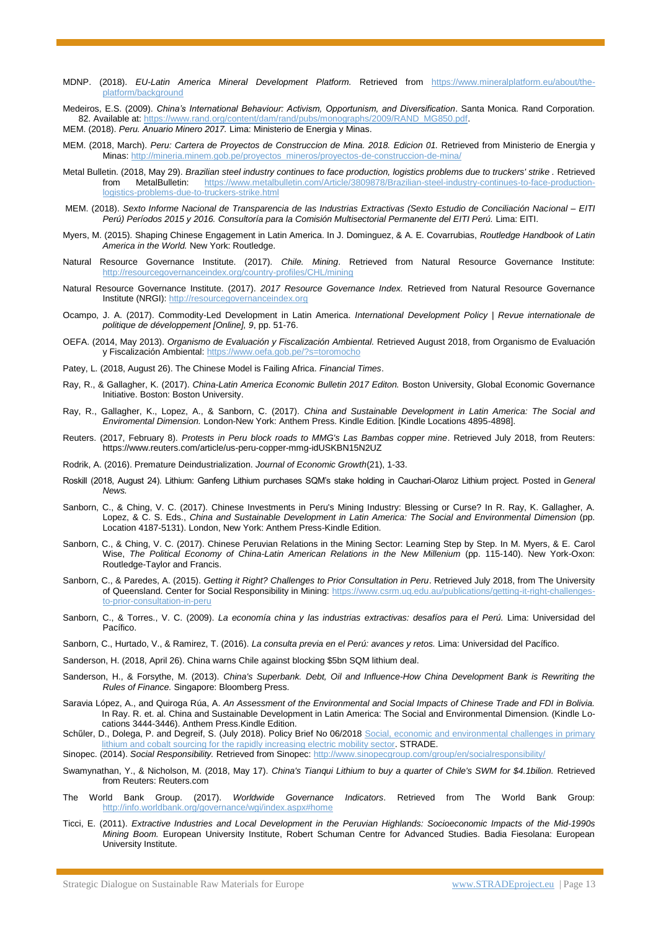- MDNP. (2018). *EU-Latin America Mineral Development Platform.* Retrieved from [https://www.mineralplatform.eu/about/the](https://www.mineralplatform.eu/about/the-platform/background)[platform/background](https://www.mineralplatform.eu/about/the-platform/background)
- Medeiros, E.S. (2009). *China's International Behaviour: Activism, Opportunism, and Diversification*. Santa Monica. Rand Corporation. 82. Available at: [https://www.rand.org/content/dam/rand/pubs/monographs/2009/RAND\\_MG850.pdf.](https://www.rand.org/content/dam/rand/pubs/monographs/2009/RAND_MG850.pdf) MEM. (2018). *Peru. Anuario Minero 2017.* Lima: Ministerio de Energia y Minas.
- MEM. (2018, March). *Peru: Cartera de Proyectos de Construccion de Mina. 2018. Edicion 01.* Retrieved from Ministerio de Energia y Minas[: http://mineria.minem.gob.pe/proyectos\\_mineros/proyectos-de-construccion-de-mina/](http://mineria.minem.gob.pe/proyectos_mineros/proyectos-de-construccion-de-mina/)
- Metal Bulletin. (2018, May 29). *Brazilian steel industry continues to face production, logistics problems due to truckers' strike .* Retrieved from MetalBulletin: [https://www.metalbulletin.com/Article/3809878/Brazilian-steel-industry-continues-to-face-production](https://www.metalbulletin.com/Article/3809878/Brazilian-steel-industry-continues-to-face-production-logistics-problems-due-to-truckers-strike.html)[logistics-problems-due-to-truckers-strike.html](https://www.metalbulletin.com/Article/3809878/Brazilian-steel-industry-continues-to-face-production-logistics-problems-due-to-truckers-strike.html)
- MEM. (2018). *Sexto Informe Nacional de Transparencia de las Industrias Extractivas (Sexto Estudio de Conciliación Nacional – EITI Perú) Períodos 2015 y 2016. Consultoría para la Comisión Multisectorial Permanente del EITI Perú.* Lima: EITI.
- Myers, M. (2015). Shaping Chinese Engagement in Latin America. In J. Dominguez, & A. E. Covarrubias, *Routledge Handbook of Latin America in the World.* New York: Routledge.
- Natural Resource Governance Institute. (2017). *Chile. Mining*. Retrieved from Natural Resource Governance Institute: <http://resourcegovernanceindex.org/country-profiles/CHL/mining>
- Natural Resource Governance Institute. (2017). *2017 Resource Governance Index.* Retrieved from Natural Resource Governance Institute (NRGI): [http://resourcegovernanceindex.org](http://resourcegovernanceindex.org/)
- Ocampo, J. A. (2017). Commodity-Led Development in Latin America. *International Development Policy | Revue internationale de politique de développement [Online], 9*, pp. 51-76.
- OEFA. (2014, May 2013). *Organismo de Evaluación y Fiscalización Ambiental.* Retrieved August 2018, from Organismo de Evaluación y Fiscalización Ambiental:<https://www.oefa.gob.pe/?s=toromocho>
- Patey, L. (2018, August 26). The Chinese Model is Failing Africa. *Financial Times*.
- Ray, R., & Gallagher, K. (2017). *China-Latin America Economic Bulletin 2017 Editon.* Boston University, Global Economic Governance Initiative. Boston: Boston University.
- Ray, R., Gallagher, K., Lopez, A., & Sanborn, C. (2017). *China and Sustainable Development in Latin America: The Social and Enviromental Dimension.* London-New York: Anthem Press. Kindle Edition. [Kindle Locations 4895-4898].
- Reuters. (2017, February 8). *Protests in Peru block roads to MMG's Las Bambas copper mine*. Retrieved July 2018, from Reuters: https://www.reuters.com/article/us-peru-copper-mmg-idUSKBN15N2UZ
- Rodrik, A. (2016). Premature Deindustrialization. *Journal of Economic Growth*(21), 1-33.
- Roskill (2018, August 24). Lithium: Ganfeng Lithium purchases SQM's stake holding in Cauchari-Olaroz Lithium project. Posted in *[General](https://roskill.com/category/general-news/) [News.](https://roskill.com/category/general-news/)*
- Sanborn, C., & Ching, V. C. (2017). Chinese Investments in Peru's Mining Industry: Blessing or Curse? In R. Ray, K. Gallagher, A. Lopez, & C. S. Eds., *China and Sustainable Development in Latin America: The Social and Environmental Dimension* (pp. Location 4187-5131). London, New York: Anthem Press-Kindle Edition.
- Sanborn, C., & Ching, V. C. (2017). Chinese Peruvian Relations in the Mining Sector: Learning Step by Step. In M. Myers, & E. Carol Wise, *The Political Economy of China-Latin American Relations in the New Millenium* (pp. 115-140). New York-Oxon: Routledge-Taylor and Francis.
- Sanborn, C., & Paredes, A. (2015). *Getting it Right? Challenges to Prior Consultation in Peru*. Retrieved July 2018, from The University of Queensland. Center for Social Responsibility in Mining[: https://www.csrm.uq.edu.au/publications/getting-it-right-challenges](https://www.csrm.uq.edu.au/publications/getting-it-right-challenges-to-prior-consultation-in-peru)[to-prior-consultation-in-peru](https://www.csrm.uq.edu.au/publications/getting-it-right-challenges-to-prior-consultation-in-peru)
- Sanborn, C., & Torres., V. C. (2009). *La economía china y las industrias extractivas: desafíos para el Perú.* Lima: Universidad del Pacífico.
- Sanborn, C., Hurtado, V., & Ramirez, T. (2016). *La consulta previa en el Perú: avances y retos.* Lima: Universidad del Pacífico.
- Sanderson, H. (2018, April 26). China warns Chile against blocking \$5bn SQM lithium deal.
- Sanderson, H., & Forsythe, M. (2013). *China's Superbank. Debt, Oil and Influence-How China Development Bank is Rewriting the Rules of Finance.* Singapore: Bloomberg Press.
- Saravia López, A., and Quiroga Rúa, A. *An Assessment of the Environmental and Social Impacts of Chinese Trade and FDI in Bolivia.*  In Ray. R. et. al. China and Sustainable Development in Latin America: The Social and Environmental Dimension. (Kindle Locations 3444-3446). Anthem Press.Kindle Edition.
- Schűler, D., Dolega, P. and Degreif, S. (July 2018). Policy Brief No 06/2018 Social, economic and environmental challenges in primary [lithium and cobalt sourcing for the rapidly increasing electric mobility sector.](http://stradeproject.eu/fileadmin/user_upload/pdf/STRADE_PB_Li_Co_EMobility.pdf) STRADE.
- Sinopec. (2014). *Social Responsibility.* Retrieved from Sinopec[: http://www.sinopecgroup.com/group/en/socialresponsibility/](http://www.sinopecgroup.com/group/en/socialresponsibility/)
- Swamynathan, Y., & Nicholson, M. (2018, May 17). *China's Tianqui Lithium to buy a quarter of Chile's SWM for \$4.1bilion.* Retrieved from Reuters: Reuters.com
- The World Bank Group. (2017). *Worldwide Governance Indicators*. Retrieved from The World Bank Group: <http://info.worldbank.org/governance/wgi/index.aspx#home>
- Ticci, E. (2011). *Extractive Industries and Local Development in the Peruvian Highlands: Socioeconomic Impacts of the Mid-1990s Mining Boom.* European University Institute, Robert Schuman Centre for Advanced Studies. Badia Fiesolana: European University Institute.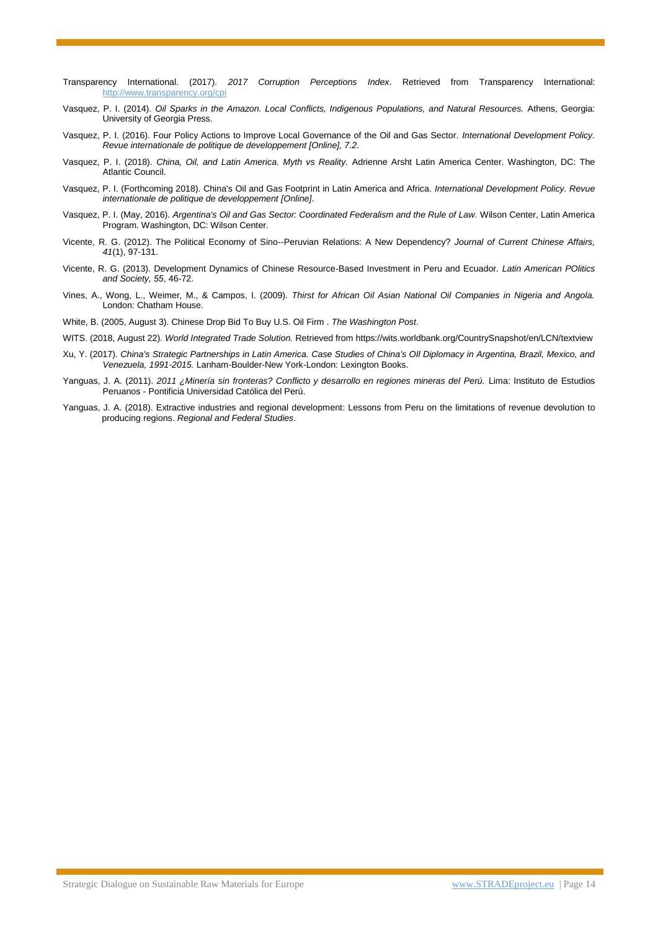- Transparency International. (2017). *2017 Corruption Perceptions Index*. Retrieved from Transparency International: <http://www.transparency.org/cpi>
- Vasquez, P. I. (2014). *Oil Sparks in the Amazon. Local Conflicts, Indigenous Populations, and Natural Resources.* Athens, Georgia: University of Georgia Press.
- Vasquez, P. I. (2016). Four Policy Actions to Improve Local Governance of the Oil and Gas Sector. *International Development Policy. Revue internationale de politique de developpement [Online], 7.2*.
- Vasquez, P. I. (2018). *China, Oil, and Latin America. Myth vs Reality.* Adrienne Arsht Latin America Center. Washington, DC: The Atlantic Council.
- Vasquez, P. I. (Forthcoming 2018). China's Oil and Gas Footprint in Latin America and Africa. *International Development Policy. Revue internationale de politique de developpement [Online]*.
- Vasquez, P. I. (May, 2016). *Argentina's Oil and Gas Sector: Coordinated Federalism and the Rule of Law.* Wilson Center, Latin America Program. Washington, DC: Wilson Center.
- Vicente, R. G. (2012). The Political Economy of Sino-‐Peruvian Relations: A New Dependency? *Journal of Current Chinese Affairs, 41*(1), 97-131.
- Vicente, R. G. (2013). Development Dynamics of Chinese Resource‐Based Investment in Peru and Ecuador. *Latin American POlitics and Society, 55*, 46-72.
- Vines, A., Wong, L., Weimer, M., & Campos, I. (2009). *Thirst for African Oil Asian National Oil Companies in Nigeria and Angola.* London: Chatham House.
- White, B. (2005, August 3). Chinese Drop Bid To Buy U.S. Oil Firm . *The Washington Post*.
- WITS. (2018, August 22). *World Integrated Trade Solution.* Retrieved from https://wits.worldbank.org/CountrySnapshot/en/LCN/textview
- Xu, Y. (2017). *China's Strategic Partnerships in Latin America. Case Studies of China's OIl Diplomacy in Argentina, Brazil, Mexico, and Venezuela, 1991-2015.* Lanham-Boulder-New York-London: Lexington Books.
- Yanguas, J. A. (2011). *2011 ¿Minería sin fronteras? Conflicto y desarrollo en regiones mineras del Perú.* Lima: Instituto de Estudios Peruanos - Pontificia Universidad Católica del Perú.
- Yanguas, J. A. (2018). Extractive industries and regional development: Lessons from Peru on the limitations of revenue devolution to producing regions. *Regional and Federal Studies*.